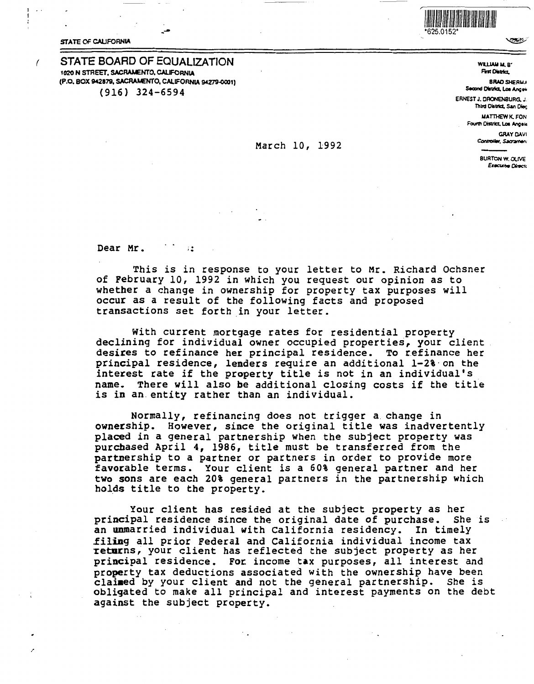**STATE OF CALIFORNIA** 

## **STATE BOARD OF EQUALIZATION** 1020 N STREET, SACRAMENTO, CALIFORNIA (P.O. BOX 942879, SACRAMENTO, CALIFORNIA 94279-0001)  $(916)$  324-6594



تحصا

## WILLIAM M. B" First Olstrict

**BRAD SHERMA** Second District, Los Angels

ERNEST J. DRONENBURG. J. Third District, San Diec

**MATTHEW K, FON** Fourth District, Los Angele

> **GRAY DAVI** Controller, Sacrament

**BURTON W. OLIVE Executive Directs** 

Dear Mr.  $\rightarrow$   $\sim$ 

This is in response to your letter to Mr. Richard Ochsner of Pebruary 10, 1992 in which you request our opinion as to whether a change in ownership for property tax purposes will occur as a result of the following facts and proposed transactions set forth in your letter.

March 10, 1992

With current mortgage rates for residential property declining for individual owner occupied properties, your client desires to refinance her principal residence. To refinance her principal residence, lenders require an additional 1-2% on the interest rate if the property title is not in an individual's name. There will also be additional closing costs if the title is in an entity rather than an individual.

Normally, refinancing does not trigger a change in ownership. However, since the original title was inadvertently placed in a general partnership when the subject property was purchased April 4, 1986, title must be transferred from the partnership to a partner or partners in order to provide more favorable terms. Your client is a 60% general partner and her two sons are each 20% general partners in the partnership which holds title to the property.

Your client has resided at the subject property as her principal residence since the original date of purchase. She is an unmarried individual with California residency. In timely filing all prior Federal and California individual income tax returns, your client has reflected the subject property as her principal residence. For income tax purposes, all interest and property tax deductions associated with the ownership have been claimed by your client and not the general partnership. She is obligated to make all principal and interest payments on the debt against the subject property.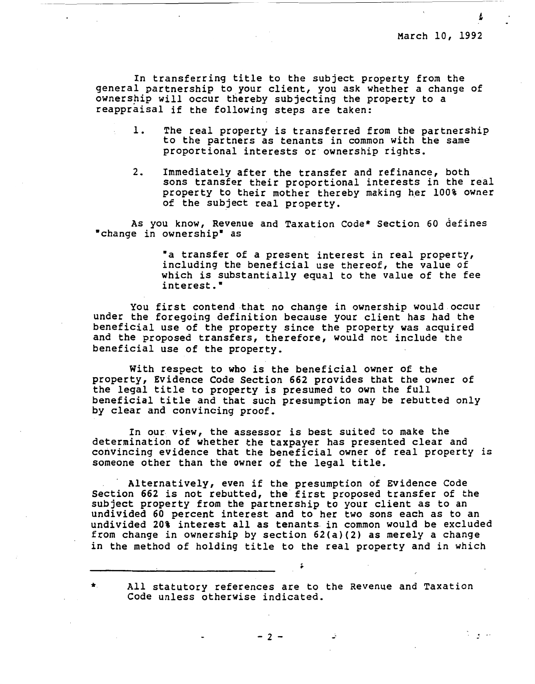In transferring title to the subject property from the general partnership to your client, you ask whether a change of ownership will occur thereby subjecting the property to a reappraisal if the following steps are taken:

- 1. The real property is transferred from the partnership to the partners as tenants in common with the same proportional interests or ownership rights.
- 2. Immediately after the transfer and refinance, both sons transfer their proportional interests in the real property to their mother thereby making her 100% owner of the subject real property.

As you know, Revenue and Taxation Code\* Section 60 defines •change in ownership• as

> •a transfer of a present interest in real property, including the beneficial use thereof, the value of which is substantially equal to the value of the fee interest.•

You first contend that no change in ownership would occur under the foregoing definition because your client has had the beneficial use of the property since the property was acquired and the proposed transfers, therefore, would not include the beneficial use of the property.

With respect to who is the beneficial owner of the property, Evidence Code Section 662 provides that the owner of the legal title to property is presumed to own the full beneficial title and that such presumption may be rebutted only by clear and convincing proof.

In our **view,** the assessor is best suited to make the determination of whether the taxpayer has presented clear and convincing evidence that the beneficial owner of real property is someone other than the owner of the legal title.

Alternatively, even if the presumption of Evidence Code Section 662 is not rebutted, the first proposed transfer of the subject property from the partnership to your client as to an undivided 60 percent interest and to her two sons each as to an undivided 20% interest all as tenants in common would be excluded from change in ownership by section 62(a)(2) as merely a change in the method of holding title to the real property and in which

\* All statutory references are to the Revenue and Taxation Code unless otherwise indicated.

 $-2 -$ 

الداوات